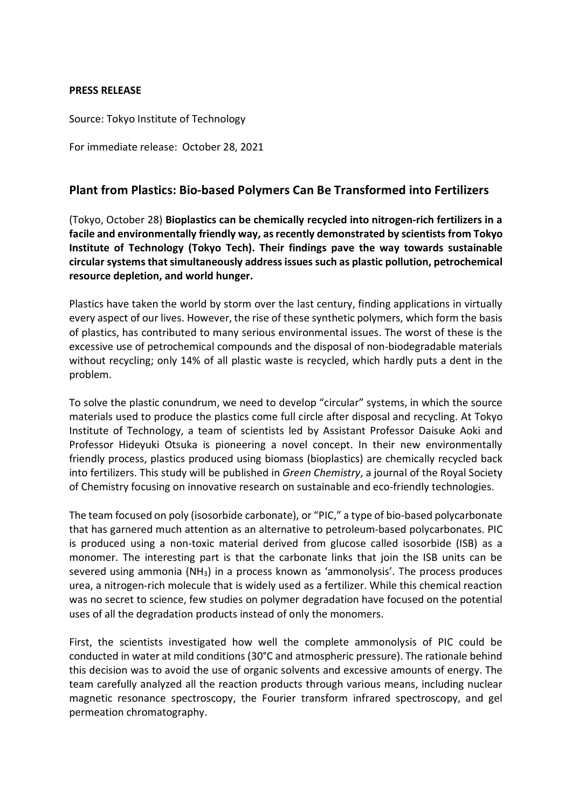### **PRESS RELEASE**

Source: Tokyo Institute of Technology

For immediate release: October 28, 2021

# **Plant from Plastics: Bio-based Polymers Can Be Transformed into Fertilizers**

(Tokyo, October 28) **Bioplastics can be chemically recycled into nitrogen-rich fertilizers in a facile and environmentally friendly way, as recently demonstrated by scientists from Tokyo Institute of Technology (Tokyo Tech). Their findings pave the way towards sustainable circular systems that simultaneously address issues such as plastic pollution, petrochemical resource depletion, and world hunger.**

Plastics have taken the world by storm over the last century, finding applications in virtually every aspect of our lives. However, the rise of these synthetic polymers, which form the basis of plastics, has contributed to many serious environmental issues. The worst of these is the excessive use of petrochemical compounds and the disposal of non-biodegradable materials without recycling; only 14% of all plastic waste is recycled, which hardly puts a dent in the problem.

To solve the plastic conundrum, we need to develop "circular" systems, in which the source materials used to produce the plastics come full circle after disposal and recycling. At Tokyo Institute of Technology, a team of scientists led by Assistant Professor Daisuke Aoki and Professor Hideyuki Otsuka is pioneering a novel concept. In their new environmentally friendly process, plastics produced using biomass (bioplastics) are chemically recycled back into fertilizers. This study will be published in *Green Chemistry*, a journal of the Royal Society of Chemistry focusing on innovative research on sustainable and eco-friendly technologies.

The team focused on poly (isosorbide carbonate), or "PIC," a type of bio-based polycarbonate that has garnered much attention as an alternative to petroleum-based polycarbonates. PIC is produced using a non-toxic material derived from glucose called isosorbide (ISB) as a monomer. The interesting part is that the carbonate links that join the ISB units can be severed using ammonia (NH3) in a process known as 'ammonolysis'. The process produces urea, a nitrogen-rich molecule that is widely used as a fertilizer. While this chemical reaction was no secret to science, few studies on polymer degradation have focused on the potential uses of all the degradation products instead of only the monomers.

First, the scientists investigated how well the complete ammonolysis of PIC could be conducted in water at mild conditions (30°C and atmospheric pressure). The rationale behind this decision was to avoid the use of organic solvents and excessive amounts of energy. The team carefully analyzed all the reaction products through various means, including nuclear magnetic resonance spectroscopy, the Fourier transform infrared spectroscopy, and gel permeation chromatography.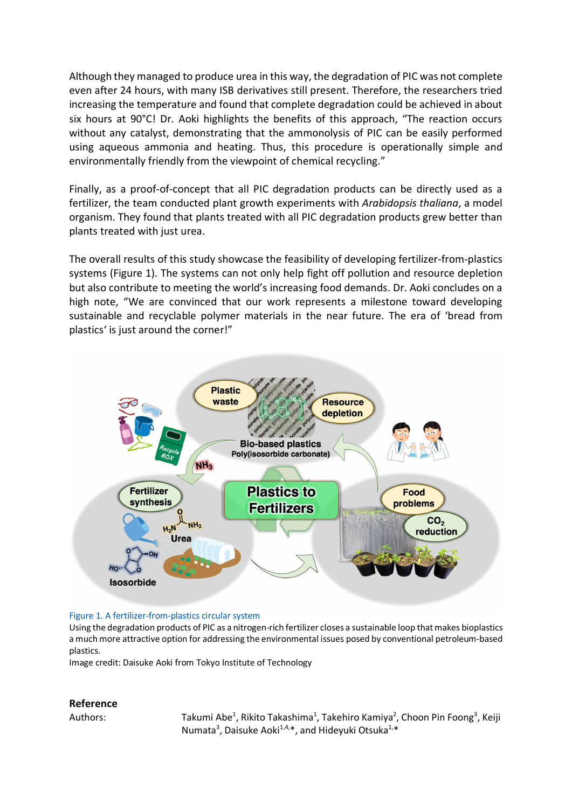Although they managed to produce urea in this way, the degradation of PIC was not complete even after 24 hours, with many ISB derivatives still present. Therefore, the researchers tried increasing the temperature and found that complete degradation could be achieved in about six hours at 90°C! Dr. Aoki highlights the benefits of this approach, "The reaction occurs without any catalyst, demonstrating that the ammonolysis of PIC can be easily performed using aqueous ammonia and heating. Thus, this procedure is operationally simple and environmentally friendly from the viewpoint of chemical recycling."

Finally, as a proof-of-concept that all PIC degradation products can be directly used as a fertilizer, the team conducted plant growth experiments with *Arabidopsis thaliana*, a model organism. They found that plants treated with all PIC degradation products grew better than plants treated with just urea.

The overall results of this study showcase the feasibility of developing fertilizer-from-plastics systems (Figure 1). The systems can not only help fight off pollution and resource depletion but also contribute to meeting the world's increasing food demands. Dr. Aoki concludes on a high note, "We are convinced that our work represents a milestone toward developing sustainable and recyclable polymer materials in the near future. The era of 'bread from plastics' is just around the corner!"



#### Figure 1. A fertilizer-from-plastics circular system

Using the degradation products of PIC as a nitrogen-rich fertilizer closes a sustainable loop that makes bioplastics a much more attractive option for addressing the environmental issues posed by conventional petroleum-based plastics.

Image credit: Daisuke Aoki from Tokyo Institute of Technology

#### **Reference**

Authors: Takumi Abe<sup>1</sup>, Rikito Takashima<sup>1</sup>, Takehiro Kamiya<sup>2</sup>, Choon Pin Foong<sup>3</sup>, Keiji Numata<sup>3</sup>, Daisuke Aoki<sup>1,4,\*</sup>, and Hideyuki Otsuka<sup>1,\*</sup>